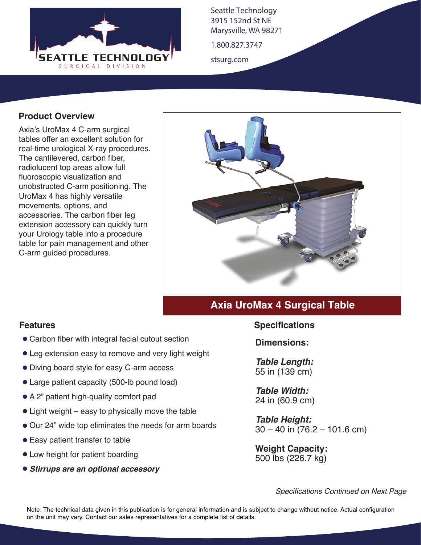

Seattle Technology 3915 152nd St NE Marysville, WA 98271

1.800.827.3747

stsurg.com

## **Product Overview**

Axia's UroMax 4 C-arm surgical tables offer an excellent solution for real-time urological X-ray procedures. The cantilevered, carbon fiber, radiolucent top areas allow full fluoroscopic visualization and unobstructed C-arm positioning. The UroMax 4 has highly versatile movements, options, and accessories. The carbon fiber leg extension accessory can quickly turn your Urology table into a procedure table for pain management and other C-arm guided procedures.



# **Axia UroMax 4 Surgical Table**

#### **Features**

- Carbon fiber with integral facial cutout section
- Leg extension easy to remove and very light weight
- Diving board style for easy C-arm access
- Large patient capacity (500-lb pound load)
- A 2" patient high-quality comfort pad
- Light weight easy to physically move the table
- Our 24" wide top eliminates the needs for arm boards
- Easy patient transfer to table
- Low height for patient boarding
- *Stirrups are an optional accessory*

#### **Specifications**

**Dimensions:**

*Table Length:* 55 in (139 cm)

*Table Width:* 24 in (60.9 cm)

*Table Height:*  $30 - 40$  in  $(76.2 - 101.6$  cm)

**Weight Capacity:**  500 lbs (226.7 kg)

*Specifications Continued on Next Page*

Note: The technical data given in this publication is for general information and is subject to change without notice. Actual configuration on the unit may vary. Contact our sales representatives for a complete list of details.